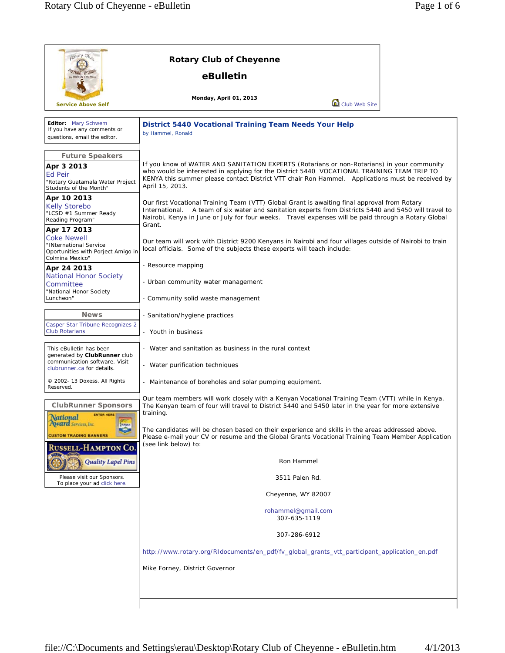| potary Club<br><b>TENNE, WYO</b>                                                                                                                                 | <b>Rotary Club of Cheyenne</b><br>eBulletin                                                                                                                                                                                                                                                                                                                                                                                                         |  |  |
|------------------------------------------------------------------------------------------------------------------------------------------------------------------|-----------------------------------------------------------------------------------------------------------------------------------------------------------------------------------------------------------------------------------------------------------------------------------------------------------------------------------------------------------------------------------------------------------------------------------------------------|--|--|
| <b>Service Above Self</b>                                                                                                                                        | Monday, April 01, 2013<br>Club Web Site                                                                                                                                                                                                                                                                                                                                                                                                             |  |  |
| Editor: Mary Schwem<br>If you have any comments or<br>questions, email the editor.                                                                               | <b>District 5440 Vocational Training Team Needs Your Help</b><br>by Hammel, Ronald                                                                                                                                                                                                                                                                                                                                                                  |  |  |
| <b>Future Speakers</b><br>Apr 3 2013<br>Ed Peir<br>"Rotary Guatamala Water Project<br>Students of the Month"                                                     | If you know of WATER AND SANITATION EXPERTS (Rotarians or non-Rotarians) in your community<br>who would be interested in applying for the District 5440 VOCATIONAL TRAINING TEAM TRIP TO<br>KENYA this summer please contact District VTT chair Ron Hammel. Applications must be received by<br>April 15, 2013.                                                                                                                                     |  |  |
| Apr 10 2013<br><b>Kelly Storebo</b><br>"LCSD #1 Summer Ready<br>Reading Program"                                                                                 | Our first Vocational Training Team (VTT) Global Grant is awaiting final approval from Rotary<br>International. A team of six water and sanitation experts from Districts 5440 and 5450 will travel to<br>Nairobi, Kenya in June or July for four weeks. Travel expenses will be paid through a Rotary Global<br>Grant.                                                                                                                              |  |  |
| Apr 17 2013<br><b>Coke Newell</b><br>"INternational Service<br>Oportunities with Porject Amigo in<br>Colmina Mexico"                                             | Our team will work with District 9200 Kenyans in Nairobi and four villages outside of Nairobi to train<br>local officials. Some of the subjects these experts will teach include:                                                                                                                                                                                                                                                                   |  |  |
| Apr 24 2013<br><b>National Honor Society</b><br>Committee<br>"National Honor Society<br>Luncheon"                                                                | - Resource mapping<br>- Urban community water management<br>- Community solid waste management                                                                                                                                                                                                                                                                                                                                                      |  |  |
| <b>News</b><br>Casper Star Tribune Recognizes 2<br><b>Club Rotarians</b>                                                                                         | - Sanitation/hygiene practices<br>- Youth in business                                                                                                                                                                                                                                                                                                                                                                                               |  |  |
| This eBulletin has been<br>generated by <b>ClubRunner</b> club<br>communication software. Visit<br>clubrunner.ca for details.                                    | - Water and sanitation as business in the rural context<br>- Water purification techniques                                                                                                                                                                                                                                                                                                                                                          |  |  |
| © 2002- 13 Doxess. All Rights<br>Reserved.                                                                                                                       | - Maintenance of boreholes and solar pumping equipment.                                                                                                                                                                                                                                                                                                                                                                                             |  |  |
| <b>ClubRunner Sponsors</b><br><b>ENTER HERE!</b><br>National<br><b>Award</b> Services, Inc.<br><b>DOMAY</b><br><b>September</b><br><b>CUSTOM TRADING BANNERS</b> | Our team members will work closely with a Kenyan Vocational Training Team (VTT) while in Kenya.<br>The Kenyan team of four will travel to District 5440 and 5450 later in the year for more extensive<br>training.<br>The candidates will be chosen based on their experience and skills in the areas addressed above.<br>Please e-mail your CV or resume and the Global Grants Vocational Training Team Member Application<br>(see link below) to: |  |  |
| <b>RUSSELL-HAMPTON CO.</b><br>Quality Lapel Pins                                                                                                                 | Ron Hammel                                                                                                                                                                                                                                                                                                                                                                                                                                          |  |  |
| Please visit our Sponsors.<br>To place your ad click here.                                                                                                       | 3511 Palen Rd.                                                                                                                                                                                                                                                                                                                                                                                                                                      |  |  |
|                                                                                                                                                                  | Cheyenne, WY 82007                                                                                                                                                                                                                                                                                                                                                                                                                                  |  |  |
|                                                                                                                                                                  | rohammel@gmail.com<br>307-635-1119                                                                                                                                                                                                                                                                                                                                                                                                                  |  |  |
|                                                                                                                                                                  | 307-286-6912                                                                                                                                                                                                                                                                                                                                                                                                                                        |  |  |
|                                                                                                                                                                  | http://www.rotary.org/RIdocuments/en_pdf/fv_global_grants_vtt_participant_application_en.pdf                                                                                                                                                                                                                                                                                                                                                        |  |  |
|                                                                                                                                                                  | Mike Forney, District Governor                                                                                                                                                                                                                                                                                                                                                                                                                      |  |  |
|                                                                                                                                                                  |                                                                                                                                                                                                                                                                                                                                                                                                                                                     |  |  |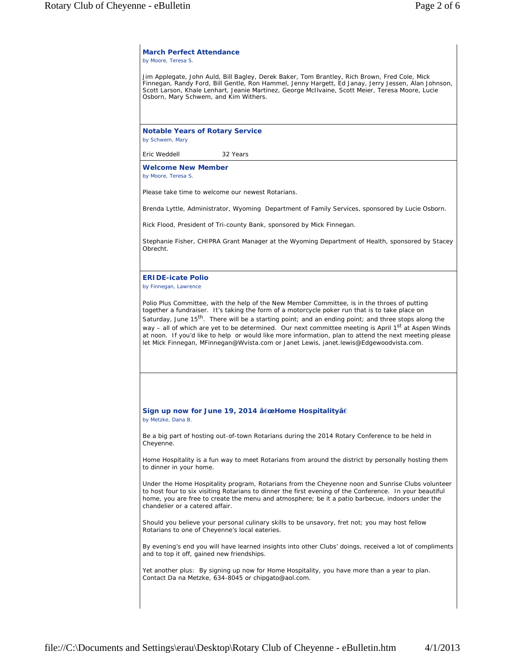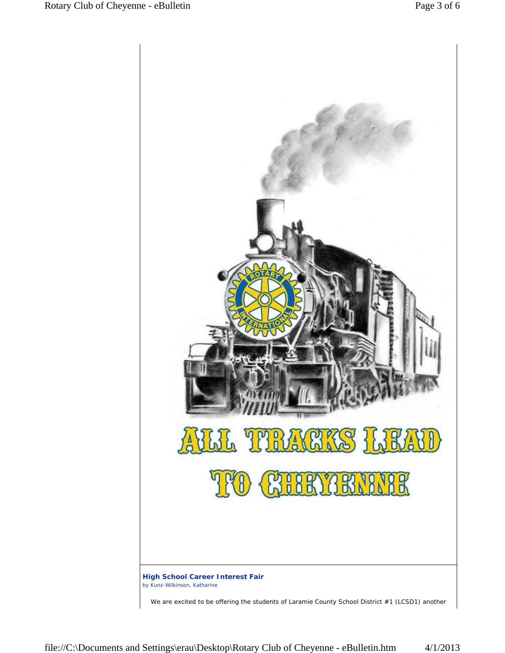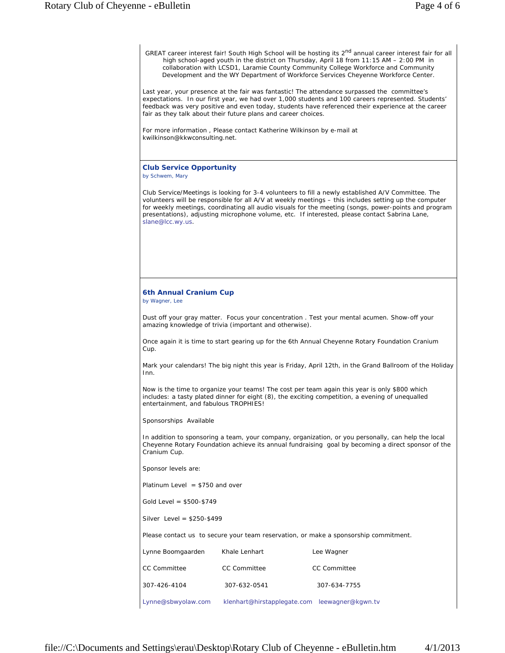GREAT career interest fair! South High School will be hosting its 2<sup>nd</sup> annual career interest fair for all high school-aged youth in the district on Thursday, April 18 from 11:15 AM – 2:00 PM in collaboration with LCSD1, Laramie County Community College Workforce and Community Development and the WY Department of Workforce Services Cheyenne Workforce Center.

Last year, your presence at the fair was fantastic! The attendance surpassed the committee's expectations. In our first year, we had over 1,000 students and 100 careers represented. Students' feedback was very positive and even today, students have referenced their experience at the career fair as they talk about their future plans and career choices.

For more information , Please contact Katherine Wilkinson by e-mail at kwilkinson@kkwconsulting.net.

## **Club Service Opportunity**

*by Schwem, Mary*

Club Service/Meetings is looking for 3-4 volunteers to fill a newly established A/V Committee. The volunteers will be responsible for all A/V at weekly meetings – this includes setting up the computer for weekly meetings, coordinating all audio visuals for the meeting (songs, power-points and program presentations), adjusting microphone volume, etc. If interested, please contact Sabrina Lane, slane@lcc.wy.us.

## **6th Annual Cranium Cup**

*by Wagner, Lee*

Dust off your gray matter. Focus your concentration . Test your mental acumen. Show-off your amazing knowledge of trivia (important and otherwise).

Once again it is time to start gearing up for the 6th Annual Cheyenne Rotary Foundation Cranium Cup.

Mark your calendars! The big night this year is Friday, April 12th, in the Grand Ballroom of the Holiday Inn.

Now is the time to organize your teams! The cost per team again this year is only \$800 which includes: a tasty plated dinner for eight (8), the exciting competition, a evening of unequalled entertainment, and fabulous TROPHIES!

Sponsorships Available

In addition to sponsoring a team, your company, organization, or you personally, can help the local Cheyenne Rotary Foundation achieve its annual fundraising goal by becoming a direct sponsor of the Cranium Cup.

Sponsor levels are:

Platinum Level  $= $750$  and over

Gold Level = \$500-\$749

Silver Level = \$250-\$499

Please contact us to secure your team reservation, or make a sponsorship commitment.

| Lynne Boomgaarden   | Khale Lenhart                                 | Lee Wagner          |
|---------------------|-----------------------------------------------|---------------------|
| <b>CC Committee</b> | <b>CC Committee</b>                           | <b>CC Committee</b> |
| 307-426-4104        | 307-632-0541                                  | 307-634-7755        |
| Lynne@sbwyolaw.com  | klenhart@hirstapplegate.com leewagner@kgwn.tv |                     |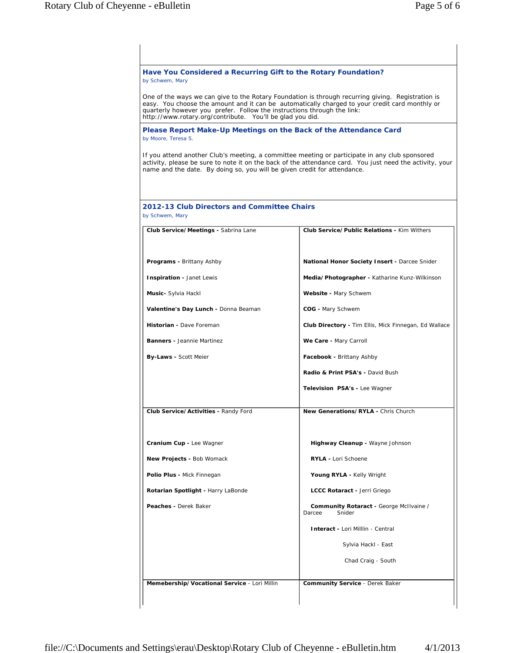| Have You Considered a Recurring Gift to the Rotary Foundation?<br>by Schwem, Mary                                                                                                                                                                                                                                                                                                                                                       |                                                              |  |  |  |
|-----------------------------------------------------------------------------------------------------------------------------------------------------------------------------------------------------------------------------------------------------------------------------------------------------------------------------------------------------------------------------------------------------------------------------------------|--------------------------------------------------------------|--|--|--|
| One of the ways we can give to the Rotary Foundation is through recurring giving. Registration is<br>easy. You choose the amount and it can be automatically charged to your credit card monthly or<br>quarterly however you prefer. Follow the instructions through the link:<br>http://www.rotary.org/contribute. You'll be glad you did.<br>Please Report Make-Up Meetings on the Back of the Attendance Card<br>by Moore, Teresa S. |                                                              |  |  |  |
|                                                                                                                                                                                                                                                                                                                                                                                                                                         |                                                              |  |  |  |
| 2012-13 Club Directors and Committee Chairs<br>by Schwem, Mary                                                                                                                                                                                                                                                                                                                                                                          |                                                              |  |  |  |
| Club Service/Meetings - Sabrina Lane                                                                                                                                                                                                                                                                                                                                                                                                    | Club Service/Public Relations - Kim Withers                  |  |  |  |
| <b>Programs - Brittany Ashby</b>                                                                                                                                                                                                                                                                                                                                                                                                        | <b>National Honor Society Insert - Darcee Snider</b>         |  |  |  |
| Inspiration - Janet Lewis                                                                                                                                                                                                                                                                                                                                                                                                               | Media/Photographer - Katharine Kunz-Wilkinson                |  |  |  |
| Music- Sylvia Hackl                                                                                                                                                                                                                                                                                                                                                                                                                     | Website - Mary Schwem                                        |  |  |  |
| Valentine's Day Lunch - Donna Beaman                                                                                                                                                                                                                                                                                                                                                                                                    | COG - Mary Schwem                                            |  |  |  |
| Historian - Dave Foreman                                                                                                                                                                                                                                                                                                                                                                                                                | <b>Club Directory - Tim Ellis, Mick Finnegan, Ed Wallace</b> |  |  |  |
| <b>Banners - Jeannie Martinez</b>                                                                                                                                                                                                                                                                                                                                                                                                       | We Care - Mary Carroll                                       |  |  |  |
| <b>By-Laws - Scott Meier</b>                                                                                                                                                                                                                                                                                                                                                                                                            | Facebook - Brittany Ashby                                    |  |  |  |
|                                                                                                                                                                                                                                                                                                                                                                                                                                         | Radio & Print PSA's - David Bush                             |  |  |  |
|                                                                                                                                                                                                                                                                                                                                                                                                                                         | Television PSA's - Lee Wagner                                |  |  |  |
| Club Service/Activities - Randy Ford                                                                                                                                                                                                                                                                                                                                                                                                    | New Generations/RYLA - Chris Church                          |  |  |  |
| Cranium Cup - Lee Wagner                                                                                                                                                                                                                                                                                                                                                                                                                | Highway Cleanup - Wayne Johnson                              |  |  |  |
| New Projects - Bob Womack                                                                                                                                                                                                                                                                                                                                                                                                               | RYLA - Lori Schoene                                          |  |  |  |
| Polio Plus - Mick Finnegan                                                                                                                                                                                                                                                                                                                                                                                                              | Young RYLA - Kelly Wright                                    |  |  |  |
| Rotarian Spotlight - Harry LaBonde                                                                                                                                                                                                                                                                                                                                                                                                      | LCCC Rotaract - Jerri Griego                                 |  |  |  |
| Peaches - Derek Baker                                                                                                                                                                                                                                                                                                                                                                                                                   | Community Rotaract - George McIlvaine /<br>Darcee<br>Snider  |  |  |  |
|                                                                                                                                                                                                                                                                                                                                                                                                                                         | <b>Interact - Lori Milllin - Central</b>                     |  |  |  |
|                                                                                                                                                                                                                                                                                                                                                                                                                                         | Sylvia Hackl - East                                          |  |  |  |
|                                                                                                                                                                                                                                                                                                                                                                                                                                         | Chad Craig - South                                           |  |  |  |
| Memebership/Vocational Service - Lori Millin                                                                                                                                                                                                                                                                                                                                                                                            |                                                              |  |  |  |